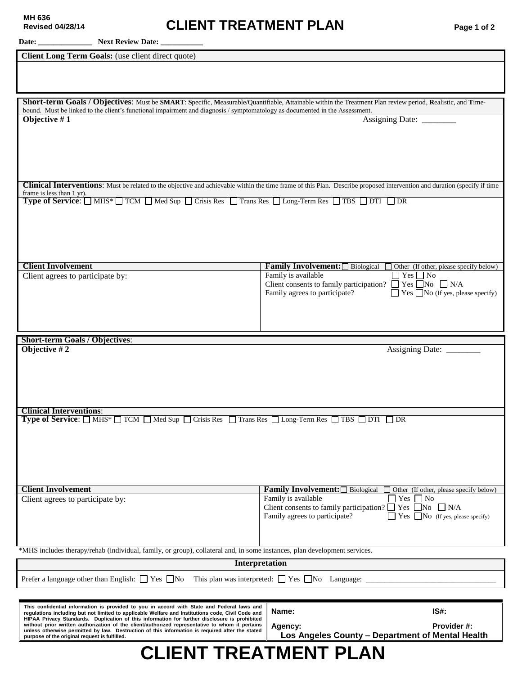## **Revised 04/28/14 CLIENT TREATMENT PLAN Page 1 of 2**

| Client Long Term Goals: (use client direct quote)                                                                                                                                                                                                                                                     |                                                                                                                                                                                 |  |  |
|-------------------------------------------------------------------------------------------------------------------------------------------------------------------------------------------------------------------------------------------------------------------------------------------------------|---------------------------------------------------------------------------------------------------------------------------------------------------------------------------------|--|--|
|                                                                                                                                                                                                                                                                                                       |                                                                                                                                                                                 |  |  |
|                                                                                                                                                                                                                                                                                                       |                                                                                                                                                                                 |  |  |
| Short-term Goals / Objectives: Must be SMART: Specific, Measurable/Quantifiable, Attainable within the Treatment Plan review period, Realistic, and Time-                                                                                                                                             |                                                                                                                                                                                 |  |  |
| bound. Must be linked to the client's functional impairment and diagnosis / symptomatology as documented in the Assessment.<br>Objective #1                                                                                                                                                           |                                                                                                                                                                                 |  |  |
|                                                                                                                                                                                                                                                                                                       | Assigning Date: ________                                                                                                                                                        |  |  |
|                                                                                                                                                                                                                                                                                                       |                                                                                                                                                                                 |  |  |
|                                                                                                                                                                                                                                                                                                       |                                                                                                                                                                                 |  |  |
|                                                                                                                                                                                                                                                                                                       |                                                                                                                                                                                 |  |  |
|                                                                                                                                                                                                                                                                                                       | <b>Clinical Interventions:</b> Must be related to the objective and achievable within the time frame of this Plan. Describe proposed intervention and duration (specify if time |  |  |
| frame is less than 1 yr).<br><b>Type of Service:</b> $\Box$ MHS* $\Box$ TCM $\Box$ Med Sup $\Box$ Crisis Res $\Box$ Trans Res $\Box$ Long-Term Res $\Box$ TBS $\Box$ DTI $\Box$ DR                                                                                                                    |                                                                                                                                                                                 |  |  |
|                                                                                                                                                                                                                                                                                                       |                                                                                                                                                                                 |  |  |
|                                                                                                                                                                                                                                                                                                       |                                                                                                                                                                                 |  |  |
|                                                                                                                                                                                                                                                                                                       |                                                                                                                                                                                 |  |  |
|                                                                                                                                                                                                                                                                                                       |                                                                                                                                                                                 |  |  |
| <b>Client Involvement</b>                                                                                                                                                                                                                                                                             | <b>Family Involvement:</b> $\Box$ Biological $\Box$ Other (If other, please specify below)                                                                                      |  |  |
| Client agrees to participate by:                                                                                                                                                                                                                                                                      | Family is available<br>$\Box$ Yes $\Box$ No                                                                                                                                     |  |  |
|                                                                                                                                                                                                                                                                                                       | Client consents to family participation? $\Box$ Yes $\Box$ No $\Box$ N/A<br>Family agrees to participate?<br>$\Box$ Yes $\Box$ No (If yes, please specify)                      |  |  |
|                                                                                                                                                                                                                                                                                                       |                                                                                                                                                                                 |  |  |
|                                                                                                                                                                                                                                                                                                       |                                                                                                                                                                                 |  |  |
|                                                                                                                                                                                                                                                                                                       |                                                                                                                                                                                 |  |  |
|                                                                                                                                                                                                                                                                                                       |                                                                                                                                                                                 |  |  |
| <b>Short-term Goals / Objectives:</b>                                                                                                                                                                                                                                                                 |                                                                                                                                                                                 |  |  |
| Objective #2                                                                                                                                                                                                                                                                                          |                                                                                                                                                                                 |  |  |
|                                                                                                                                                                                                                                                                                                       |                                                                                                                                                                                 |  |  |
|                                                                                                                                                                                                                                                                                                       |                                                                                                                                                                                 |  |  |
|                                                                                                                                                                                                                                                                                                       |                                                                                                                                                                                 |  |  |
| <b>Clinical Interventions:</b>                                                                                                                                                                                                                                                                        |                                                                                                                                                                                 |  |  |
| <b>Type of Service:</b> $\Box$ MHS* $\Box$ TCM $\Box$ Med Sup $\Box$ Crisis Res $\Box$ Trans Res $\Box$ Long-Term Res $\Box$ TBS $\Box$ DTI $\Box$ DR                                                                                                                                                 |                                                                                                                                                                                 |  |  |
|                                                                                                                                                                                                                                                                                                       |                                                                                                                                                                                 |  |  |
|                                                                                                                                                                                                                                                                                                       |                                                                                                                                                                                 |  |  |
|                                                                                                                                                                                                                                                                                                       |                                                                                                                                                                                 |  |  |
|                                                                                                                                                                                                                                                                                                       |                                                                                                                                                                                 |  |  |
| <b>Client Involvement</b>                                                                                                                                                                                                                                                                             | <b>Family Involvement:</b> Biological □<br>Other (If other, please specify below)                                                                                               |  |  |
| Client agrees to participate by:                                                                                                                                                                                                                                                                      | Family is available<br>Yes [<br>$\Box$ No<br>Client consents to family participation? $\Box$ Yes $\Box$ No $\Box$ N/A                                                           |  |  |
|                                                                                                                                                                                                                                                                                                       | Family agrees to participate?<br>Yes $\Box$ No (If yes, please specify)                                                                                                         |  |  |
|                                                                                                                                                                                                                                                                                                       |                                                                                                                                                                                 |  |  |
| *MHS includes therapy/rehab (individual, family, or group), collateral and, in some instances, plan development services.                                                                                                                                                                             |                                                                                                                                                                                 |  |  |
| <b>Interpretation</b>                                                                                                                                                                                                                                                                                 |                                                                                                                                                                                 |  |  |
| Prefer a language other than English: $\Box$ Yes $\Box$ No This plan was interpreted: $\Box$ Yes $\Box$ No Language:                                                                                                                                                                                  |                                                                                                                                                                                 |  |  |
|                                                                                                                                                                                                                                                                                                       |                                                                                                                                                                                 |  |  |
| This confidential information is provided to you in accord with State and Federal laws and                                                                                                                                                                                                            |                                                                                                                                                                                 |  |  |
| regulations including but not limited to applicable Welfare and Institutions code, Civil Code and<br>HIPAA Privacy Standards. Duplication of this information for further disclosure is prohibited<br>without prior written authorization of the client/authorized representative to whom it pertains | IS#:<br>Name:<br>Provider #:<br>Agency:                                                                                                                                         |  |  |

**CLIENT TREATMENT PLAN**